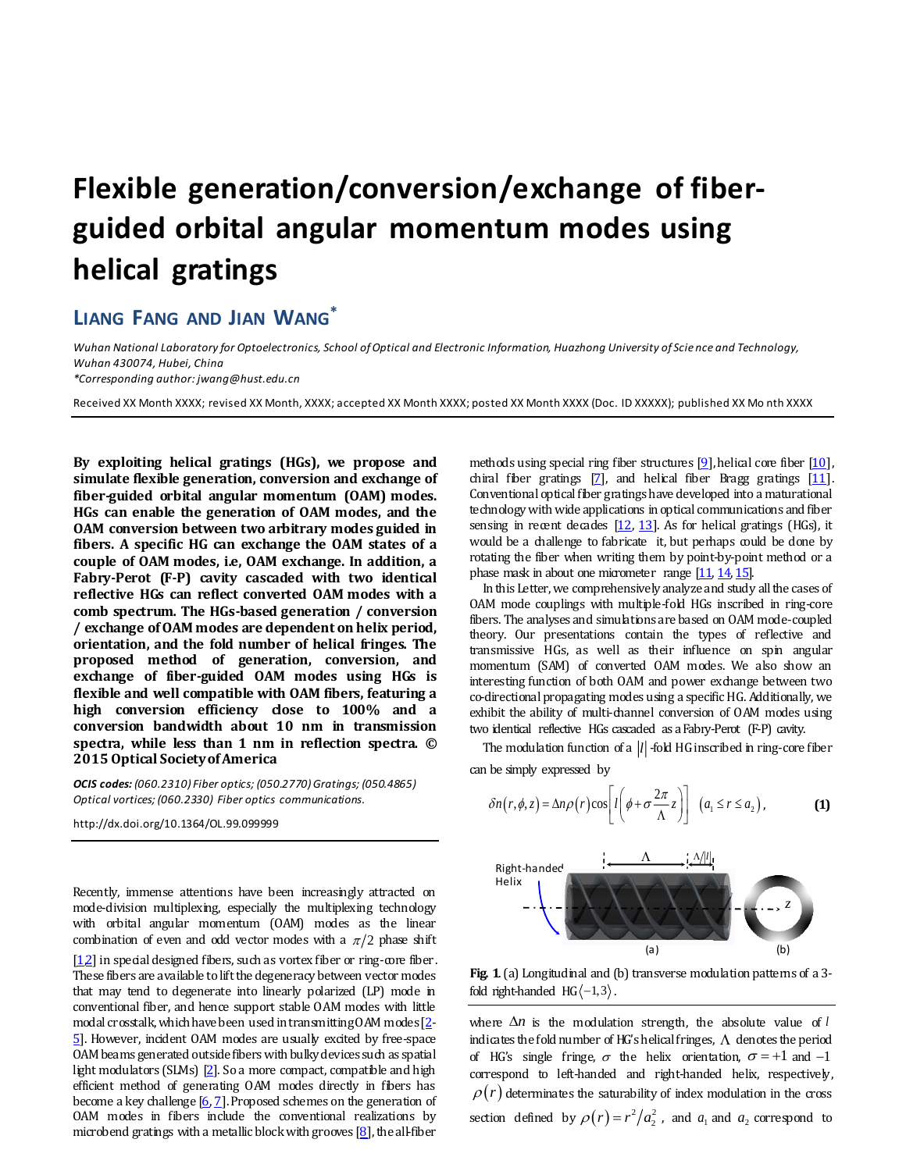## **Flexible generation/conversion/exchange of fiberguided orbital angular momentum modes using helical gratings**

## **LIANG FANG AND JIAN WANG\***

*Wuhan National Laboratory for Optoelectronics, School of Optical and Electronic Information, Huazhong University of Science and Technology, Wuhan 430074, Hubei, China*

*\*Corresponding author: jwang@hust.edu.cn*

Received XX Month XXXX; revised XX Month, XXXX; accepted XX Month XXXX; posted XX Month XXXX (Doc. ID XXXXX); published XX Mo nth XXXX

**By exploiting helical gratings (HGs), we propose and simulate flexible generation, conversion and exchange of fiber-guided orbital angular momentum (OAM) modes. HGs can enable the generation of OAM modes, and the OAM conversion between two arbitrary modes guided in fibers. A specific HG can exchange the OAM states of a couple of OAM modes, i.e, OAM exchange. In addition, a Fabry-Perot (F-P) cavity cascaded with two identical reflective HGs can reflect converted OAM modes with a comb spectrum. The HGs-based generation / conversion / exchange of OAM modes are dependent on helix period, orientation, and the fold number of helical fringes. The proposed method of generation, conversion, and exchange of fiber-guided OAM modes using HGs is flexible and well compatible with OAM fibers, featuring a high conversion efficiency close to 100% and a conversion bandwidth about 10 nm in transmission spectra, while less than 1 nm in reflection spectra. © 2015 Optical Society of America**

*OCIS codes: (060.2310) Fiber optics; (050.2770) Gratings; (050.4865) Optical vortices; (060.2330) Fiber optics communications.*

http://dx.doi.org/10.1364/OL.99.099999

Recently, immense attentions have been increasingly attracted on mode-division multiplexing, especially the multiplexing technology with orbital angular momentum (OAM) modes as the linear combination of even and odd vector modes with a  $\pi/2$  phase shift [1,2] in special designed fibers, such as vortex fiber or ring-core fiber. These fibers are available to lift the degeneracy between vector modes that may tend to degenerate into linearly polarized (LP) mode in conventional fiber, and hence support stable OAM modes with little modal crosstalk, which have been used in transmitting OAM modes [2- 5]. However, incident OAM modes are usually excited by free-space OAM beams generated outsidefibers with bulky devices such as spatial light modulators (SLMs) [2]. So a more compact, compatible and high efficient method of generating OAM modes directly in fibers has become a key challenge  $[6, 7]$ . Proposed schemes on the generation of OAM modes in fibers include the conventional realizations by microbend gratings with a metallic block with grooves  $[8]$ , the all-fiber

methods using special ring fiber structures  $[9]$ , helical core fiber  $[10]$ , chiral fiber gratings  $[7]$ , and helical fiber Bragg gratings  $[11]$ . Conventional optical fiber gratings have developed into a maturational technology with wide applications in optical communications and fiber sensing in recent decades  $[12, 13]$ . As for helical gratings (HGs), it would be a challenge to fabricate it, but perhaps could be done by rotating the fiber when writing them by point-by-point method or a phase mask in about one micrometer range [11, 14, 15].

In this Letter, we comprehensively analyze and study all the cases of OAM mode couplings with multiple-fold HGs inscribed in ring-core fibers. The analyses and simulations are based on OAM mode-coupled theory. Our presentations contain the types of reflective and transmissive HGs, as well as their influence on spin angular momentum (SAM) of converted OAM modes. We also show an interesting function of both OAM and power exchange between two co-directional propagating modes using a specific HG. Additionally, we exhibit the ability of multi-channel conversion of OAM modes using two identical reflective HGs cascaded as a Fabry-Perot (F-P) cavity.

The modulation function of a |l| -fold HG inscribed in ring-core fiber can be simply expressed by

$$
\delta n(r,\phi,z) = \Delta n \rho(r) \cos \left[l\left(\phi + \sigma \frac{2\pi}{\Lambda} z\right)\right] \left(a_1 \le r \le a_2\right),\tag{1}
$$



**Fig. 1**. (a) Longitudinal and (b) transverse modulation patterns of a 3 fold right-handed  $HG \langle -1,3 \rangle$ .

where  $\Delta n$  is the modulation strength, the absolute value of  $l$ indicates the fold number of HG's helical fringes,  $\Lambda$  denotes the period of HG's single fringe,  $\sigma$  the helix orientation,  $\sigma = +1$  and  $-1$ correspond to left-handed and right-handed helix, respectively,  $\rho(r)$  determinates the saturability of index modulation in the cross section defined by  $\rho(r) = r^2/a_2^2$ , and  $a_1$  and  $a_2$  correspond to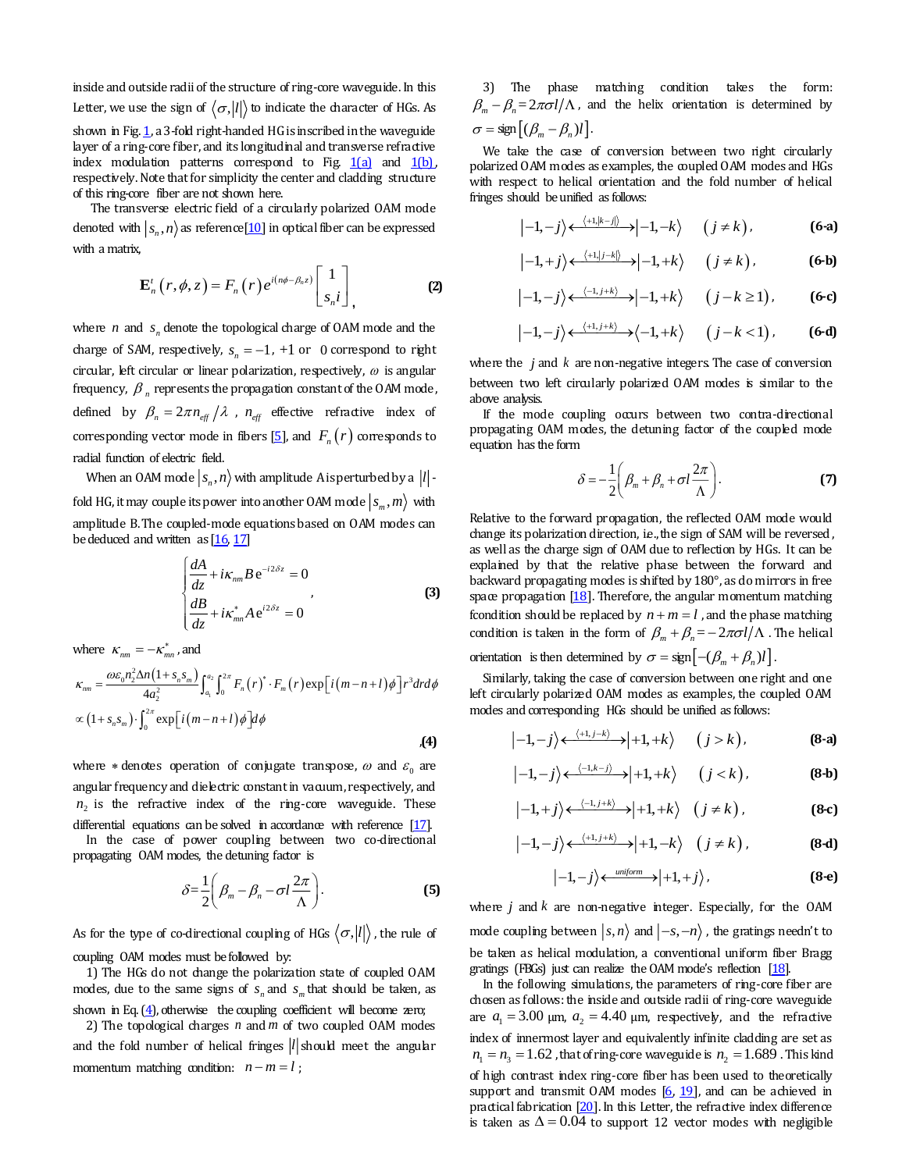inside and outside radii of the structure of ring-core waveguide. In this Letter, we use the sign of  $\langle \sigma, |l| \rangle$  to indicate the character of HGs. As shown in Fig. 1, a 3-fold right-handed HG is inscribed in the waveguide layer of a ring-core fiber, and its longitudinal and transverse refractive index modulation patterns correspond to Fig.  $1(a)$  and  $1(b)$ , respectively. Note that for simplicity the center and cladding structure of this ring-core fiber are not shown here.

The transverse electric field of a circularly polarized OAM mode denoted with  $|s_n, n\rangle$  as reference [10] in optical fiber can be expressed with a matrix,

$$
\mathbf{E}_{n}^{t}\left(r,\phi,z\right)=F_{n}\left(r\right)e^{i\left(n\phi-\beta_{n}z\right)}\begin{bmatrix}1\\s_{n}i\end{bmatrix},\tag{2}
$$

where  $n$  and  $s_n$  denote the topological charge of OAM mode and the charge of SAM, respectively,  $s_n = -1$ ,  $+1$  or 0 correspond to right circular, left circular or linear polarization, respectively,  $\omega$  is angular frequency,  $\beta$ <sub>n</sub> represents the propagation constant of the OAM mode, defined by  $\beta_n = 2\pi n_{\text{eff}} / \lambda$ ,  $n_{\text{eff}}$  effective refractive index of corresponding vector mode in fibers  $[5]$ , and  $F_n(r)$  corresponds to radial function of electric field.

When an OAM mode  $|s_n, n\rangle$  with amplitude A is perturbed by a  $|l|$  fold HG, it may couple its power into another OAM mode  $|s_m, m\rangle$  with amplitude B. The coupled-mode equations based on OAM modes can be deduced and written as [16, 17]

$$
\begin{cases}\n\frac{dA}{dz} + i\kappa_{nm} B e^{-i2\delta z} = 0\\ \n\frac{dB}{dz} + i\kappa_{mn}^* A e^{i2\delta z} = 0\n\end{cases}
$$
\n(3)

where  $\kappa_{nm} = -\kappa_{mn}^*$ , and

$$
\kappa_{nm} = \frac{\omega \varepsilon_0 n_2^2 \Delta n (1 + s_n s_m)}{4a_2^2} \int_{a_1}^{a_2} \int_0^{2\pi} F_n(r)^* \cdot F_m(r) \exp[i(m - n + l)\phi] r^3 dr d\phi
$$
  
 
$$
\propto (1 + s_n s_m) \cdot \int_0^{2\pi} \exp[i(m - n + l)\phi] d\phi
$$

where  $\ast$  denotes operation of conjugate transpose,  $\omega$  and  $\varepsilon_{_0}$  are angular frequency and dielectric constant in vacuum, respectively, and  $n<sub>2</sub>$  is the refractive index of the ring-core waveguide. These differential equations can be solved in accordance with reference  $[17]$ .

In the case of power coupling between two co-directional propagating OAM modes, the detuning factor is

$$
\delta = \frac{1}{2} \left( \beta_m - \beta_n - \sigma l \frac{2\pi}{\Lambda} \right).
$$
 (5)

As for the type of co-directional coupling of HGs  $\langle \sigma, |l| \rangle$ , the rule of coupling OAM modes must be followed by:

1) The HGs do not change the polarization state of coupled OAM modes, due to the same signs of  $s_n$  and  $s_m$  that should be taken, as shown in Eq. (4), otherwise the coupling coefficient will become zero;

2) The topological charges  $n$  and  $m$  of two coupled OAM modes and the fold number of helical fringes  $|l|$  should meet the angular momentum matching condition:  $n - m = l$ ;

3) The phase matching condition takes the form:  $\beta_m - \beta_n = 2\pi\sigma l/\Lambda$ , and the helix orientation is determined by  $\sigma = \text{sign}[(\beta_m - \beta_n)l].$ 

We take the case of conversion between two right circularly polarized OAM modes as examples, the coupled OAM modes and HGs with respect to helical orientation and the fold number of helical fringes should be unified as follows:

$$
|{-1,-j}\rangle \leftarrow \xrightarrow{\langle +1,|k-j|\rangle} -1,-k \rangle \qquad (j \neq k), \qquad (6\text{-a})
$$

$$
|-1,+j\rangle \leftarrow \xleftarrow{\langle +1,|j-k|\rangle} -|-1,+k\rangle \qquad (j \neq k), \qquad \textbf{(6-b)}
$$

$$
|-1,-j\rangle \leftarrow \xrightarrow{\langle -1,j+k\rangle} -1,+k\rangle \qquad (j-k \ge 1), \qquad (6-c)
$$

$$
|{-1,-j}\rangle \leftarrow \xrightarrow{\langle +1,j+k \rangle} \langle -1,+k \rangle \qquad (j-k<1) \,, \tag{6-d}
$$

where the  $j$  and  $k$  are non-negative integers. The case of conversion between two left circularly polarized OAM modes is similar to the above analysis.

If the mode coupling occurs between two contra-directional propagating OAM modes, the detuning factor of the coupled mode equation has the form

$$
\delta = -\frac{1}{2} \left( \beta_m + \beta_n + \sigma l \frac{2\pi}{\Lambda} \right). \tag{7}
$$

Relative to the forward propagation, the reflected OAM mode would change its polarization direction, i.e., the sign of SAM will be reversed, as well as the charge sign of OAM due to reflection by HGs. It can be explained by that the relative phase between the forward and backward propagating modes is shifted by 180°, as do mirrors in free space propagation  $[18]$ . Therefore, the angular momentum matching fcondition should be replaced by  $n + m = l$ , and the phase matching condition is taken in the form of  $\beta_m + \beta_n = -2\pi\sigma l/\Lambda$ . The helical

orientation is then determined by  $\sigma = \text{sign}\big[ -(\beta_m + \beta_n)l \big]$ .

Similarly, taking the case of conversion between one right and one left circularly polarized OAM modes as examples, the coupled OAM modes and corresponding HGs should be unified as follows:

$$
|{-1,-j}\rangle \xleftarrow{\langle +1,j-k\rangle} |{+1,+k}\rangle \qquad (j>k), \qquad (8\text{-a})
$$

$$
|{-1,-j}\rangle \leftarrow \xrightarrow{\langle -1,k-j\rangle} |{+1,+k}\rangle \quad (j < k), \tag{8-b}
$$

$$
|-1,+j\rangle \leftarrow \xrightarrow{\langle -1,j+k\rangle} +1,+k\rangle \quad (j \neq k), \tag{8-c}
$$

$$
|{-1,-j}\rangle \xleftarrow{\langle +1,j+k\rangle} \rightarrow |+1,-k\rangle \quad (j \neq k), \tag{8-d}
$$

$$
|{-1},-j\rangle \leftarrow^{\text{uniform}} |{+1},+j\rangle, \qquad (8\text{-}e)
$$

where  $j$  and  $k$  are non-negative integer. Especially, for the OAM mode coupling between  $|s,n\rangle$  and  $|-s,-n\rangle$  , the gratings needn't to be taken as helical modulation, a conventional uniform fiber Bragg gratings (FBGs) just can realize the OAM mode's reflection [18].

In the following simulations, the parameters of ring-core fiber are chosen as follows: the inside and outside radii of ring-core waveguide are  $a_1 = 3.00$   $\mu$ m,  $a_2 = 4.40$   $\mu$ m, respectively, and the refractive index of innermost layer and equivalently infinite cladding are set as  $n_1 = n_3 = 1.62$ , that of ring-core waveguide is  $n_2 = 1.689$ . This kind of high contrast index ring-core fiber has been used to theoretically support and transmit OAM modes  $[6, 19]$ , and can be achieved in practical fabrication  $[20]$ . In this Letter, the refractive index difference is taken as  $\Delta = 0.04$  to support 12 vector modes with negligible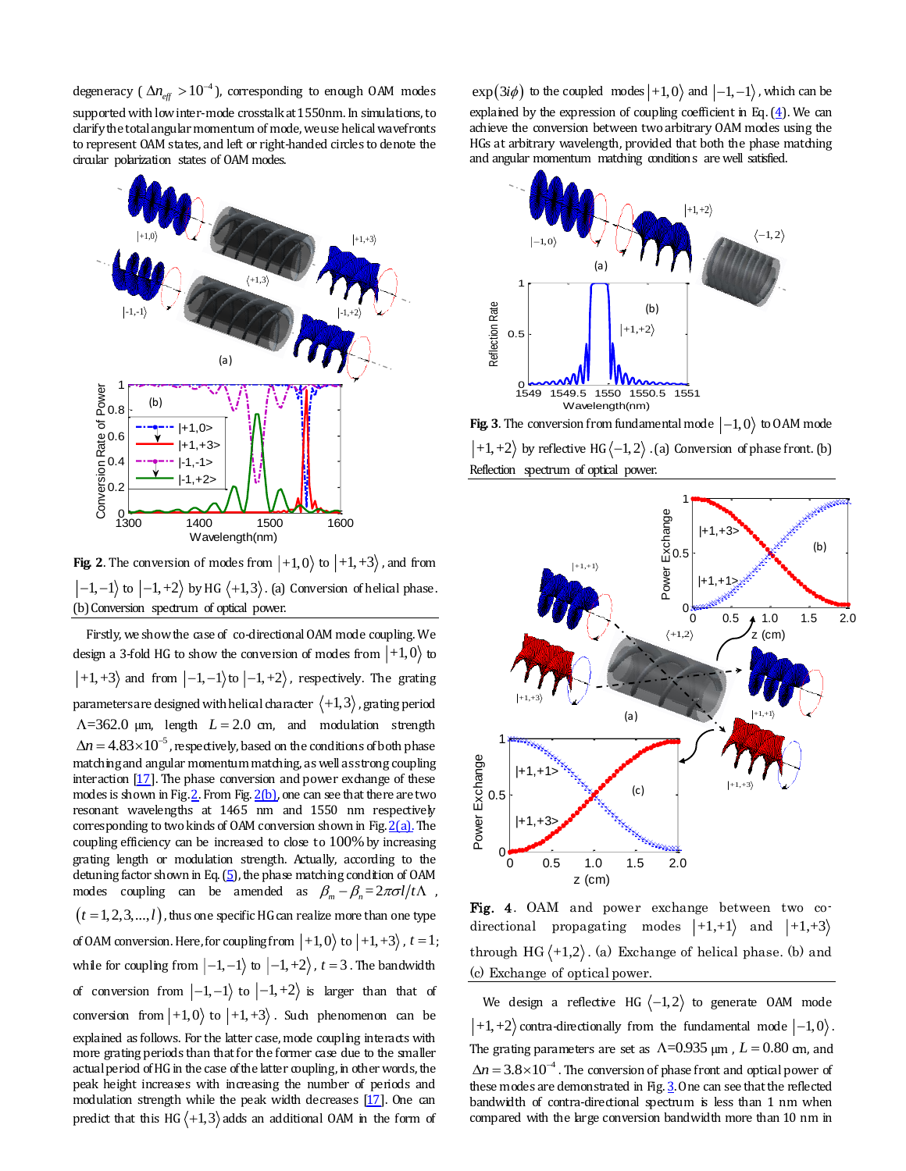degeneracy (  $\Delta n_{\text{eff}} > 10^{-4}$  ), corresponding to enough OAM modes supported with low inter-mode crosstalk at 1550nm. In simulations, to clarify the total angular momentum of mode, we use helical wavefronts to represent OAM states, and left or right-handed circles to denote the circular polarization states of OAM modes.



**Fig. 2.** The conversion of modes from  $|+1,0\rangle$  to  $|+1,+3\rangle$ , and from  $\ket{-1,-1}$  to  $\ket{-1,+2}$  by HG  $\langle +1,3\rangle$  . (a) Conversion of helical phase . (b) Conversion spectrum of optical power.

Firstly, we show the case of co-directional OAM mode coupling. We design a 3-fold HG to show the conversion of modes from  $\ket{+1,0}$  to  $+1, +3$  and from  $\vert -1, -1 \rangle$  to  $\vert -1, +2 \rangle$ , respectively. The grating parameters are designed with helical character  $\langle +1, 3 \rangle$  , grating period  $\Lambda$ =362.0  $\mu$ m, length  $L = 2.0$  cm, and modulation strength  $\Delta n$  = 4.83 $\times 10^{-5}$  , respectively, based on the conditions of both phase matching and angular momentum matching, as well as strong coupling interaction [17]. The phase conversion and power exchange of these modes is shown in Fig.  $2$ . From Fig.  $2(b)$ , one can see that there are two resonant wavelengths at 1465 nm and 1550 nm respectively corresponding to two kinds of OAM conversion shown in Fig.  $2(a)$ . The coupling efficiency can be increased to close to 100% by increasing grating length or modulation strength. Actually, according to the detuning factor shown in Eq.  $(5)$ , the phase matching condition of OAM modes coupling can be amended as  $\beta_m - \beta_n = 2\pi \sigma l/t\Lambda$ ,  $\left( t = 1, 2, 3, ..., l \right)$  , thus one specific HG can realize more than one type  $\overline{a}$ of OAM conversion. Here, for coupling from  $|+1,0\rangle$  to  $|+1,+3\rangle$ ,  $t=1$ ; while for coupling from  $\ket{-1,-1}$  to  $\ket{-1,+2}$ ,  $t=3$ . The bandwidth of conversion from  $|-1,-1\rangle$  to  $|-1,+2\rangle$  is larger than that of conversion from  $|+1,0\rangle$  to  $|+1,+3\rangle$ . Such phenomenon can be explained as follows. For the latter case, mode coupling interacts with more grating periods than that for the former case due to the smaller actual period of HG in the case of the latter coupling, in other words, the peak height increases with increasing the number of periods and modulation strength while the peak width decreases [17]. One can degrade ( $M_{\text{eff}}$ ,  $M_{\text{eff}}$ ) corresponding to example that the constrained and the expectation of the form of example in the form of example in the form of example in the form of experimentation of example in the form o

to the coupled modes  $|+1,0\rangle$  and  $|-1,-1\rangle$ , which can be explained by the expression of coupling coefficient in Eq.  $(4)$ . We can achieve the conversion between two arbitrary OAM modes using the HGs at arbitrary wavelength, provided that both the phase matching and angular momentum matching conditions are well satisfied.



**Fig. 3**. The conversion from fundamental mode  $\ket{-1,0}$  to OAM mode  $+1, +2$  by reflective HG $\langle -1, 2 \rangle$ . (a) Conversion of phase front. (b) Reflection spectrum of optical power.



Fig. 4. OAM and power exchange between two codirectional propagating modes  $|+1,+1\rangle$  and  $|+1,+3\rangle$ through  $HG \langle +1, 2 \rangle$ . (a) Exchange of helical phase. (b) and (c) Exchange of optical power.

We design a reflective HG  $\langle -1, 2 \rangle$  to generate OAM mode  $+1, +2$  contra-directionally from the fundamental mode  $\ket{-1,0}$ . The grating parameters are set as  $\Lambda$ =0.935  $\mu$ m,  $L$  = 0.80 cm, and  $\Delta n = 3.8 \times 10^{-4}$  . The conversion of phase front and optical power of these modes are demonstrated in Fig. 3. One can see that the reflected bandwidth of contra-directional spectrum is less than 1 nm when compared with the large conversion bandwidth more than 10 nm in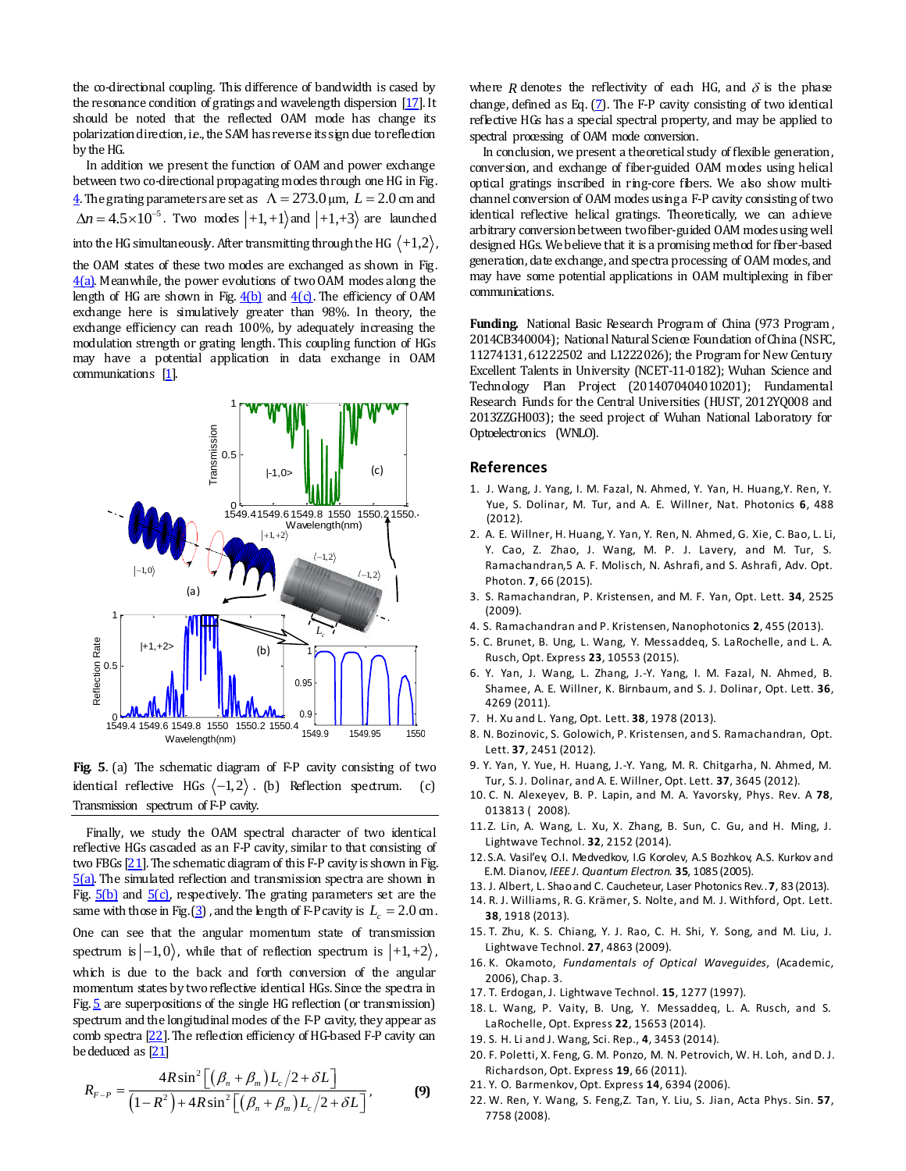the co-directional coupling. This difference of bandwidth is cased by the resonance condition of gratings and wavelength dispersion [17]. It should be noted that the reflected OAM mode has change its polarization direction, i.e., the SAM has reverse its sign due to reflection by the HG.

In addition we present the function of OAM and power exchange between two co-directional propagating modes through one HG in Fig.  $\frac{4}{2}$ . The grating parameters are set as  $\Lambda = 273.0$  µm,  $L = 2.0$  cm and  $\Delta n = 4.5 \times 10^{-5}$ . Two modes  $|+1,+1\rangle$  and  $|+1,+3\rangle$  are launched

into the HG simultaneously. After transmitting through the HG  $\langle +1,2 \rangle$  ,

the OAM states of these two modes are exchanged as shown in Fig. 4(a). Meanwhile, the power evolutions of two OAM modes along the length of HG are shown in Fig.  $4(b)$  and  $4(c)$ . The efficiency of OAM exchange here is simulatively greater than 98%. In theory, the exchange efficiency can reach 100%, by adequately increasing the modulation strength or grating length. This coupling function of HGs may have a potential application in data exchange in OAM communications [1].



**Fig. 5**. (a) The schematic diagram of F-P cavity consisting of two identical reflective HGs  $\langle -1, 2 \rangle$ . (b) Reflection spectrum. (c) Transmission spectrum of F-P cavity.

Finally, we study the OAM spectral character of two identical reflective HGs cascaded as an F-P cavity, similar to that consisting of two FBGs  $[21]$ . The schematic diagram of this F-P cavity is shown in Fig. 5(a). The simulated reflection and transmission spectra are shown in Fig.  $5(b)$  and  $5(c)$ , respectively. The grating parameters set are the same with those in Fig.  $(3)$  , and the length of F-P cavity is  $L_c = 2.0$  cm. One can see that the angular momentum state of transmission spectrum is  $\ket{-1,0}$ , while that of reflection spectrum is  $\ket{+1,+2}$ , which is due to the back and forth conversion of the angular momentum states by two reflective identical HGs. Since the spectra in Fig. 5 are superpositions of the single HG reflection (or transmission) spectrum and the longitudinal modes of the F-P cavity, they appear as comb spectra [22]. The reflection efficiency of HG-based F-P cavity can be deduced as  $[21]$ 

$$
R_{F-P} = \frac{4R\sin^2\left[\left(\beta_n + \beta_m\right)L_c/2 + \delta L\right]}{\left(1 - R^2\right) + 4R\sin^2\left[\left(\beta_n + \beta_m\right)L_c/2 + \delta L\right]},\tag{9}
$$

where *R* denotes the reflectivity of each HG, and  $\delta$  is the phase change, defined as Eq.  $(7)$ . The F-P cavity consisting of two identical reflective HGs has a special spectral property, and may be applied to spectral processing of OAM mode conversion.

In conclusion, we present a theoretical study of flexible generation, conversion, and exchange of fiber-guided OAM modes using helical optical gratings inscribed in ring-core fibers. We also show multichannel conversion of OAM modes using a F-P cavity consisting of two identical reflective helical gratings. Theoretically, we can achieve arbitrary conversion between two fiber-guided OAM modes using well designed HGs. We believe that it is a promising method for fiber-based generation, date exchange, and spectra processing of OAM modes, and may have some potential applications in OAM multiplexing in fiber communications.

**Funding.** National Basic Research Program of China (973 Program, 2014CB340004); National Natural Science Foundation of China (NSFC, 11274131, 61222502 and L1222026); the Program for New Century Excellent Talents in University (NCET-11-0182); Wuhan Science and Technology Plan Project (2014070404010201); Fundamental Research Funds for the Central Universities (HUST, 2012YQ008 and 2013ZZGH003); the seed project of Wuhan National Laboratory for Optoelectronics (WNLO).

## **References**

- 1. J. Wang, J. Yang, I. M. Fazal, N. Ahmed, Y. Yan, H. Huang,Y. Ren, Y. Yue, S. Dolinar, M. Tur, and A. E. Willner, Nat. Photonics **6**, 488 (2012).
- 2. A. E. Willner, H. Huang, Y. Yan, Y. Ren, N. Ahmed, G. Xie, C. Bao, L. Li, Y. Cao, Z. Zhao, J. Wang, M. P. J. Lavery, and M. Tur, S. Ramachandran,5 A. F. Molisch, N. Ashrafi, and S. Ashrafi, Adv. Opt. Photon. **7**, 66 (2015).
- 3. S. Ramachandran, P. Kristensen, and M. F. Yan, Opt. Lett. **34**, 2525 (2009).
- 4. S. Ramachandran and P. Kristensen, Nanophotonics **2**, 455 (2013).
- 5. C. Brunet, B. Ung, L. Wang, Y. Messaddeq, S. LaRochelle, and L. A. Rusch, Opt. Express **23**, 10553 (2015).
- 6. Y. Yan, J. Wang, L. Zhang, J.-Y. Yang, I. M. Fazal, N. Ahmed, B. Shamee, A. E. Willner, K. Birnbaum, and S. J. Dolinar, Opt. Lett. **36**, 4269 (2011).
- 7. H. Xu and L. Yang, Opt. Lett. **38**, 1978 (2013).
- 8. N. Bozinovic, S. Golowich, P. Kristensen, and S. Ramachandran, Opt. Lett. **37**, 2451 (2012).
- 9. Y. Yan, Y. Yue, H. Huang, J.-Y. Yang, M. R. Chitgarha, N. Ahmed, M. Tur, S. J. Dolinar, and A. E. Willner, Opt. Lett. **37**, 3645 (2012).
- 10. C. N. Alexeyev, B. P. Lapin, and M. A. Yavorsky, Phys. Rev. A **78**, 013813 (2008).
- 11.Z. Lin, A. Wang, L. Xu, X. Zhang, B. Sun, C. Gu, and H. Ming, J. Lightwave Technol. **32**, 2152 (2014).
- 12.S.A. Vasil'ev, O.I. Medvedkov, I.G Korolev, A.S Bozhkov, A.S. Kurkov and E.M. Dianov, *IEEE J. Quantum Electron.* **35**, 1085 (2005).
- 13. J. Albert, L. Shao and C. Caucheteur, Laser Photonics Rev.. **7**, 83 (2013).
- 14. R. J. Williams, R. G. Krämer, S. Nolte, and M. J. Withford, Opt. Lett. **38**, 1918 (2013).
- 15. T. Zhu, K. S. Chiang, Y. J. Rao, C. H. Shi, Y. Song, and M. Liu, J. Lightwave Technol. **27**, 4863 (2009).
- 16. K. Okamoto, *Fundamentals of Optical Waveguides*, (Academic, 2006), Chap. 3.
- 17. T. Erdogan, J. Lightwave Technol. **15**, 1277 (1997).
- 18. L. Wang, P. Vaity, B. Ung, Y. Messaddeq, L. A. Rusch, and S. LaRochelle, Opt. Express **22**, 15653 (2014).
- 19. S. H. Li and J. Wang, Sci. Rep., **4**, 3453 (2014).
- 20. F. Poletti, X. Feng, G. M. Ponzo, M. N. Petrovich, W. H. Loh, and D. J. Richardson, Opt. Express **19**, 66 (2011).
- 21. Y. O. Barmenkov, Opt. Express **14**, 6394 (2006).
- 22. W. Ren, Y. Wang, S. Feng,Z. Tan, Y. Liu, S. Jian, Acta Phys. Sin. **57**, 7758 (2008).